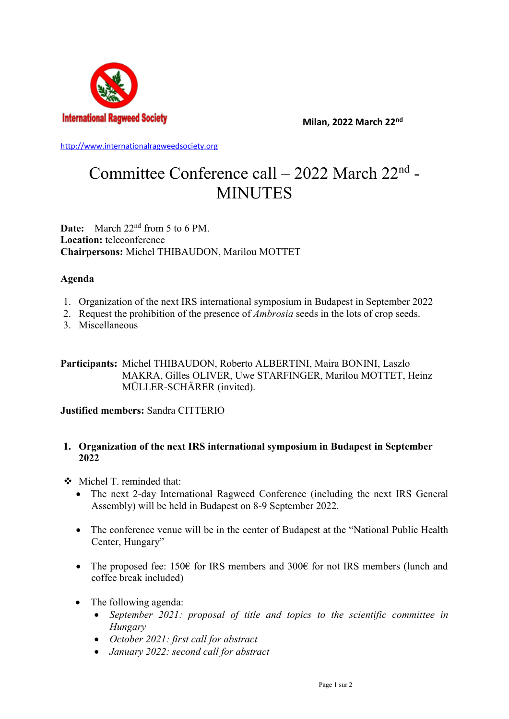

**Milan, 2022 March 22nd**

[http://www.internationalragweedsociety.org](http://www.internationalragweedsociety.org/)

# Committee Conference call - 2022 March 22<sup>nd</sup> -MINUTES

**Date:** March 22nd from 5 to 6 PM. **Location:** teleconference **Chairpersons:** Michel THIBAUDON, Marilou MOTTET

### **Agenda**

- 1. Organization of the next IRS international symposium in Budapest in September 2022
- 2. Request the prohibition of the presence of *Ambrosia* seeds in the lots of crop seeds.
- 3. Miscellaneous

**Participants:** Michel THIBAUDON, Roberto ALBERTINI, Maira BONINI, Laszlo MAKRA, Gilles OLIVER, Uwe STARFINGER, Marilou MOTTET, Heinz MÜLLER-SCHÄRER (invited).

## **Justified members:** Sandra CITTERIO

### **1. Organization of the next IRS international symposium in Budapest in September 2022**

- Michel T. reminded that:
	- The next 2-day International Ragweed Conference (including the next IRS General Assembly) will be held in Budapest on 8-9 September 2022.
	- The conference venue will be in the center of Budapest at the "National Public Health" Center, Hungary"
	- The proposed fee: 150 $\epsilon$  for IRS members and 300 $\epsilon$  for not IRS members (lunch and coffee break included)
	- The following agenda:
		- *September 2021: proposal of title and topics to the scientific committee in Hungary*
		- *October 2021: first call for abstract*
		- *January 2022: second call for abstract*